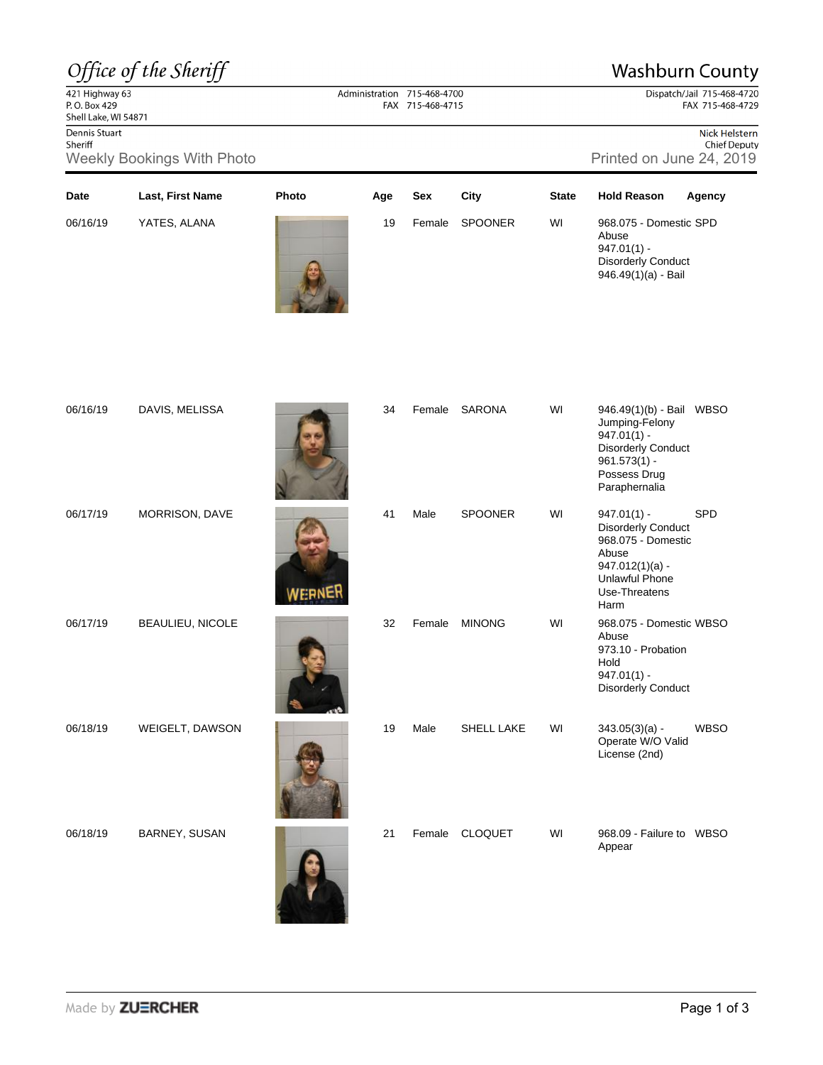## Office of the Sheriff

## **Washburn County**

Dispatch/Jail 715-468-4720 FAX 715-468-4729

421 Highway 63<br>P. O. Box 429 Shell Lake, WI 54871 Dennis Stuart

Administration 715-468-4700 FAX 715-468-4715

**Date Last, First Name Photo Age Sex City State Hold Reason Agency**

06/16/19 YATES, ALANA 19 Female SPOONER WI

Nick Helstern **Chief Deputy** 

968.075 - Domestic SPD

Abuse 947.01(1) -

Sheriff Weekly Bookings With Photo **Printed on June 24, 2019** Printed on June 24, 2019

|          |                  |    |        |                   |    | <b>Disorderly Conduct</b><br>946.49(1)(a) - Bail                                                                                            |             |
|----------|------------------|----|--------|-------------------|----|---------------------------------------------------------------------------------------------------------------------------------------------|-------------|
| 06/16/19 | DAVIS, MELISSA   | 34 | Female | SARONA            | WI | 946.49(1)(b) - Bail WBSO<br>Jumping-Felony<br>$947.01(1) -$<br><b>Disorderly Conduct</b><br>$961.573(1) -$<br>Possess Drug<br>Paraphernalia |             |
| 06/17/19 | MORRISON, DAVE   | 41 | Male   | <b>SPOONER</b>    | WI | $947.01(1) -$<br>Disorderly Conduct<br>968.075 - Domestic<br>Abuse<br>$947.012(1)(a) -$<br><b>Unlawful Phone</b><br>Use-Threatens<br>Harm   | <b>SPD</b>  |
| 06/17/19 | BEAULIEU, NICOLE | 32 | Female | <b>MINONG</b>     | WI | 968.075 - Domestic WBSO<br>Abuse<br>973.10 - Probation<br>Hold<br>$947.01(1) -$<br>Disorderly Conduct                                       |             |
| 06/18/19 | WEIGELT, DAWSON  | 19 | Male   | <b>SHELL LAKE</b> | WI | $343.05(3)(a) -$<br>Operate W/O Valid<br>License (2nd)                                                                                      | <b>WBSO</b> |
| 06/18/19 | BARNEY, SUSAN    | 21 | Female | <b>CLOQUET</b>    | WI | 968.09 - Failure to WBSO<br>Appear                                                                                                          |             |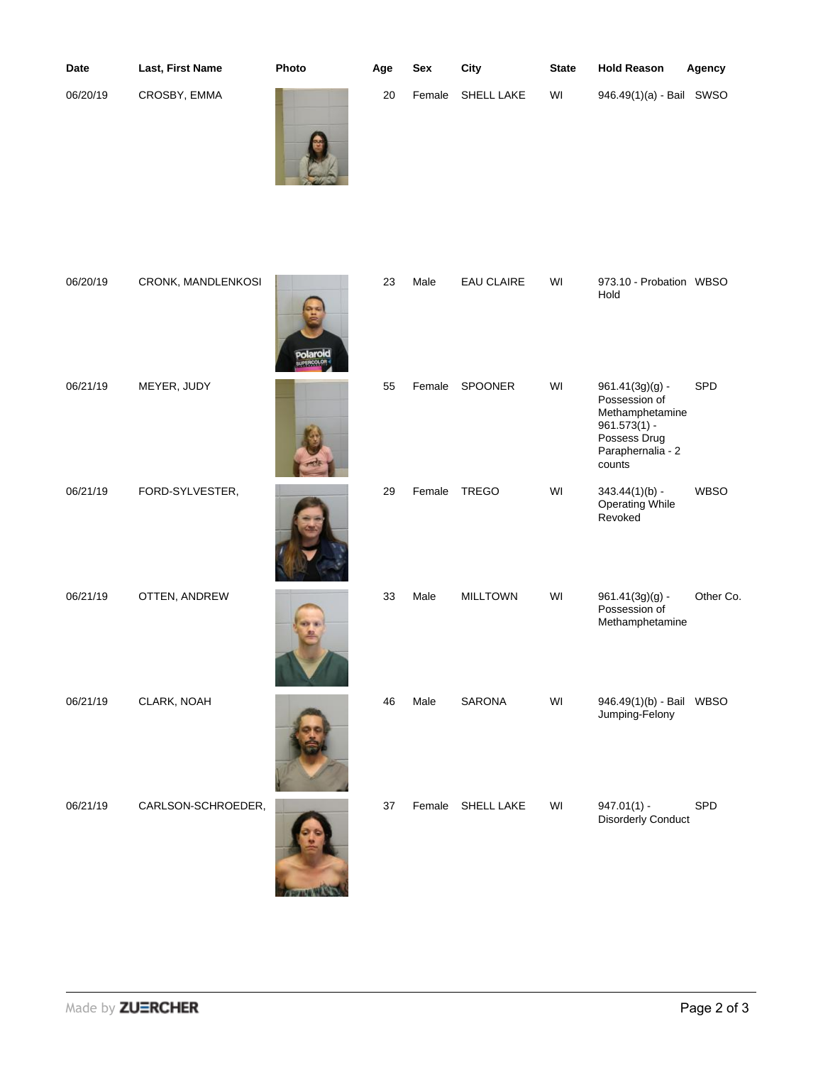| Date     | Last, First Name   | Photo           | Age | <b>Sex</b> | City              | <b>State</b> | <b>Hold Reason</b>                                                                                                     | Agency      |
|----------|--------------------|-----------------|-----|------------|-------------------|--------------|------------------------------------------------------------------------------------------------------------------------|-------------|
| 06/20/19 | CROSBY, EMMA       |                 | 20  | Female     | <b>SHELL LAKE</b> | WI           | 946.49(1)(a) - Bail SWSO                                                                                               |             |
| 06/20/19 | CRONK, MANDLENKOSI | <b>polaroid</b> | 23  | Male       | <b>EAU CLAIRE</b> | WI           | 973.10 - Probation WBSO<br>Hold                                                                                        |             |
| 06/21/19 | MEYER, JUDY        |                 | 55  | Female     | SPOONER           | WI           | $961.41(3g)(g)$ -<br>Possession of<br>Methamphetamine<br>$961.573(1) -$<br>Possess Drug<br>Paraphernalia - 2<br>counts | SPD         |
| 06/21/19 | FORD-SYLVESTER,    |                 | 29  | Female     | <b>TREGO</b>      | WI           | $343.44(1)(b) -$<br><b>Operating While</b><br>Revoked                                                                  | <b>WBSO</b> |
| 06/21/19 | OTTEN, ANDREW      |                 | 33  | Male       | <b>MILLTOWN</b>   | WI           | $961.41(3g)(g)$ -<br>Possession of<br>Methamphetamine                                                                  | Other Co.   |

06/21/19 CLARK, NOAH 46 Male SARONA WI 946.49(1)(b) - Bail

06/21/19 CARLSON-SCHROEDER, 37 Female SHELL LAKE WI



Jumping-Felony

947.01(1) -<br>Disorderly Conduct

WBSO

SPD